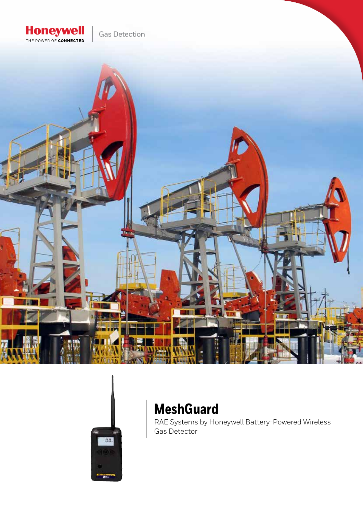

Gas Detection





# **MeshGuard**

RAE Systems by Honeywell Battery-Powered Wireless Gas Detector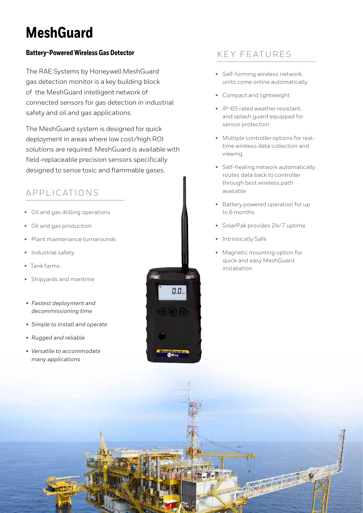# **MeshGuard**

## **Battery-Powered Wireless Gas Detector**

The RAE Systems by Honeywell MeshGuard gas detection monitor is a key building block of the MeshGuard intelligent network of connected sensors for gas detection in industrial safety and oil and gas applications.

The MeshGuard system is designed for quick deployment in areas where low cost/high ROI solutions are required. MeshGuard is available with field-replaceable precision sensors specifically designed to sense toxic and flammable gases.

# APPLICATIONS

- Oil and gas drilling operations
- Oil and gas production
- Plant maintenance turnarounds
- Industrial safety
- Tank farms
- Shipyards and maritime
- *• Fastest deployment and decommissioning time*
- *• Simple to install and operate*
- *• Rugged and reliable*
- *• Versatile to accommodate many applications*



## KEY FEATURES

- Self-forming wireless network; units come online automatically
- Compact and lightweight
- IP-65 rated weather resistant, and splash guard equipped for sensor protection
- Multiple controller options for realtime wireless data collection and viewing
- Self-healing network automatically routes data back to controller through best wireless path available
- Battery powered operation for up to 6 months
- SolarPak provides 24/7 uptime
- Intrinsically Safe
- Magnetic mounting option for quick and easy MeshGuard installation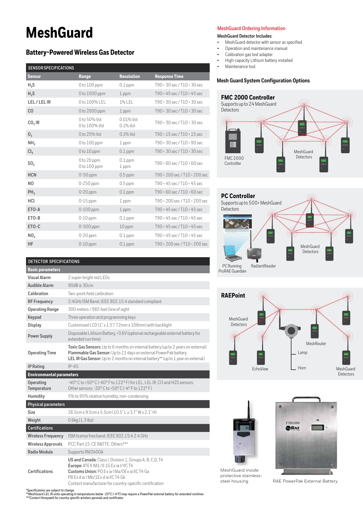# **MeshGuard**

### **Battery-Powered Wireless Gas Detector**

### **SENSOR SPECIFICATIONS**

| <b>Sensor</b>      | Range                               | <b>Resolution</b>           | <b>Response Time</b>                        |
|--------------------|-------------------------------------|-----------------------------|---------------------------------------------|
| $H_2S$             | 0 to 100 ppm                        | $0.1$ ppm                   | T90 < 30 sec / T10 < 30 sec                 |
| $H_2S$             | 0 to 1000 ppm                       | $1$ ppm                     | T90<45 sec / T10<45 sec                     |
| LEL/LELIR          | 0 to 100% LEL                       | 1% LEL                      | T90<30 sec / T10<30 sec                     |
| CO                 | 0 to 2000 ppm                       | $1$ ppm                     | T90<30 sec / T10<30 sec                     |
| CO <sub>2</sub> IR | 0 to 50% Vol<br>0 to 100% Vol       | $0.01\%$ Vol<br>$0.1\%$ Vol | $T90 \times 30$ sec / $T10 \times 30$ sec   |
| 0,                 | 0 to 25% Vol                        | $0.1\%$ Vol                 | T90 < 15 sec / T10 < 15 sec                 |
| NH <sub>3</sub>    | $0$ to $100$ ppm                    | 1 ppm                       | T90<30 sec / T10<90 sec                     |
| Cl <sub>2</sub>    | $0$ to $10$ ppm                     | $0.1$ ppm                   | T90<30 sec / T10<30 sec                     |
| SO <sub>2</sub>    | $0$ to $20$ ppm<br>$0$ to $100$ ppm | $0.1$ ppm<br>1 ppm          | $T90 \times 60$ sec / $T10 \times 60$ sec   |
| <b>HCN</b>         | $0-50$ ppm                          | $0.5$ ppm                   | T90 < 200 sec / T10 < 200 sec               |
| NO.                | 0-250 ppm                           | $0.5$ ppm                   | T90 < 45 sec / T10 < 45 sec                 |
| $PH_3$             | 0-20 ppm                            | $0.1$ ppm                   | T90 < 60 sec / T10 < 60 sec                 |
| HCL                | $0-15$ ppm                          | $1$ ppm                     | T90<200 sec / T10<200 sec                   |
| ETO-A              | $0-100$ ppm                         | 1 ppm                       | T90<45 sec / T10<45 sec                     |
| ETO-B              | 0-10 ppm                            | $0.1$ ppm                   | T90 < 45 sec / T10 < 45 sec                 |
| ETO-C              | $0-500$ ppm                         | $10$ ppm                    | T90<45 sec / T10<45 sec                     |
| NO <sub>2</sub>    | $0-20$ ppm                          | $0.1$ ppm                   | T90 < 45 sec / T10 < 45 sec                 |
| HF                 | $0-10$ ppm                          | $0.1$ ppm                   | $T90 \times 200$ sec / $T10 \times 200$ sec |

#### **MeshGuard Ordering Information**

#### **MeshGuard Detector Includes:**

- MeshGuard detector with sensor as specified
- Operation and maintenance manual
- Calibration gas test adapter
- High-capacity Lithium battery installed
- Maintenance tool

#### **Mesh Guard System Configuration Options**









MeshGuard inside protective stainless-<br>steel housing



RAE PowerPak External Battery

### **DETECTOR SPECIFICATIONS**

| <b>Basic parameters</b>         |                                                                                                                                                                                                                                            |  |  |
|---------------------------------|--------------------------------------------------------------------------------------------------------------------------------------------------------------------------------------------------------------------------------------------|--|--|
| <b>Visual Alarm</b>             | 2 super-bright red LEDs                                                                                                                                                                                                                    |  |  |
| <b>Audible Alarm</b>            | 90dB @ 30cm                                                                                                                                                                                                                                |  |  |
| Calibration                     | Two-point field calibration                                                                                                                                                                                                                |  |  |
| <b>RF Frequency</b>             | 2.4GHz ISM Band, IEEE 802.15.4 standard compliant                                                                                                                                                                                          |  |  |
| <b>Operating Range</b>          | 300 meters / 985 feet (line of sight                                                                                                                                                                                                       |  |  |
| Keypad                          | Three operation and programming keys                                                                                                                                                                                                       |  |  |
| Display                         | Customised LCD (1" x 1.5"/72mm x 108mm) with backlight                                                                                                                                                                                     |  |  |
| <b>Power Supply</b>             | Disposable Lithium Battery, +3.6V (optional rechargeable external battery for<br>extended run time)                                                                                                                                        |  |  |
| <b>Operating Time</b>           | Toxic Gas Sensors: Up to 6 months on internal battery (up to 2 years on external)<br>Flammable Gas Sensor: Up to 21 days on external PowerPak battery<br>LELIR Gas Sensor: Up to 2 months on internal battery** (up to 1 year on external) |  |  |
| <b>IP Rating</b>                | $IP-65$                                                                                                                                                                                                                                    |  |  |
| <b>Environmantal parameters</b> |                                                                                                                                                                                                                                            |  |  |
| Operating<br>Temperature        | -40°C to +50°C (-40°F to 122°F) for LEL, LEL IR, CO and H2S sensors.<br>Other sensors: -20°C to +50°C (-4°F to 122°F)                                                                                                                      |  |  |
| Humidity                        | 5% to 95% relative humidity, non-condensing                                                                                                                                                                                                |  |  |
| <b>Physical parameters</b>      |                                                                                                                                                                                                                                            |  |  |
| Size                            | 26.5cm x 9.5cm x 5.5cm (10.5" L x 3.7" W x 2.1" H)                                                                                                                                                                                         |  |  |
| Weight                          | $0.6$ kg $(1.3$ lbs)                                                                                                                                                                                                                       |  |  |
| <b>Certifications</b>           |                                                                                                                                                                                                                                            |  |  |
| <b>Wireless Frequency</b>       | ISM license free band, IEEE 802.15.4 2.4 GHz                                                                                                                                                                                               |  |  |
| <b>Wireless Approvals</b>       | PCC Part 15, CE R&TTE, Others***                                                                                                                                                                                                           |  |  |
| <b>Radio Module</b>             | Supports RM2400A                                                                                                                                                                                                                           |  |  |
| <b>Certifications</b>           | US and Canada: Class I, Division 1, Groups A, B, C, D, T4<br>Europe: ATEX IM1/II 1G Ex ia I/IIC T4<br>Customs Union: PO Exia   Ma/OExia IIC T4 Ga<br>PB Ex d ia I Mb/1Ex d ia IIC T4 Gb                                                    |  |  |

Contact manufacturer for country-specific certification \*Specifications are subject to change<br>\*\*MeshGuard LEL IR units operating in temperatures below -20°C (-4°F) may require a PowerPak external battery for extended runtimes<br>\*\*\*Contact Honeywell for country specific wireless a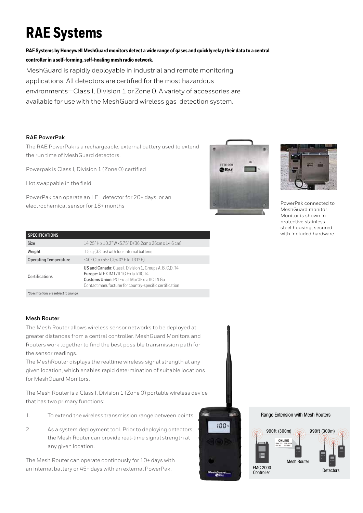# **RAE Systems**

**RAE Systems by Honeywell MeshGuard monitors detect a wide range of gases and quickly relay their data to a central controller in a self-forming, self-healing mesh radio network.**

MeshGuard is rapidly deployable in industrial and remote monitoring applications. All detectors are certified for the most hazardous environments—Class I, Division 1 or Zone 0. A variety of accessories are available for use with the MeshGuard wireless gas detection system.

### **RAE PowerPak**

The RAE PowerPak is a rechargeable, external battery used to extend the run time of MeshGuard detectors.

Powerpak is Class I, Division 1 (Zone 0) certified

Hot swappable in the field

PowerPak can operate an LEL detector for 20+ days, or an electrochemical sensor for 18+ months





PowerPak connected to MeshGuard monitor. Monitor is shown in protective stainlesssteel housing, secured with included hardware.

#### **SPECIFICATIONS**

| <b>SPECIFICATIONS</b>                  |                                                                                                                                                                                                                            |  |  |
|----------------------------------------|----------------------------------------------------------------------------------------------------------------------------------------------------------------------------------------------------------------------------|--|--|
| <b>Size</b>                            | 14.25" H x 10.2" W x 5.75" D (36.2cm x 26cm x 14.6 cm)                                                                                                                                                                     |  |  |
| Weight                                 | 15kg (33 lbs) with four internal batterie                                                                                                                                                                                  |  |  |
| <b>Operating Temperature</b>           | $-40^{\circ}$ C to +55° C (-40° F to 131° F)                                                                                                                                                                               |  |  |
| <b>Certifications</b>                  | <b>US and Canada:</b> Class I, Division 1, Groups A, B, C, D, T4<br>Europe: ATEX IM1/II 1G Ex ia I/IIC T4<br><b>Customs Union: PO Exia I Ma/OExia IIC T4 Ga</b><br>Contact manufacturer for country-specific certification |  |  |
| *Specifications are subject to change. |                                                                                                                                                                                                                            |  |  |

#### **Mesh Router**

The Mesh Router allows wireless sensor networks to be deployed at greater distances from a central controller. MeshGuard Monitors and Routers work together to find the best possible transmission path for the sensor readings.

The MeshRouter displays the realtime wireless signal strength at any given location, which enables rapid determination of suitable locations for MeshGuard Monitors.

The Mesh Router is a Class I, Division 1 (Zone 0) portable wireless device that has two primary functions:

- 1. To extend the wireless transmission range between points.
- 2. As a system deployment tool. Prior to deploying detectors, the Mesh Router can provide real-time signal strength at any given location.

The Mesh Router can operate continously for 10+ days with an internal battery or 45+ days with an external PowerPak.



#### Range Extension with Mesh Routers

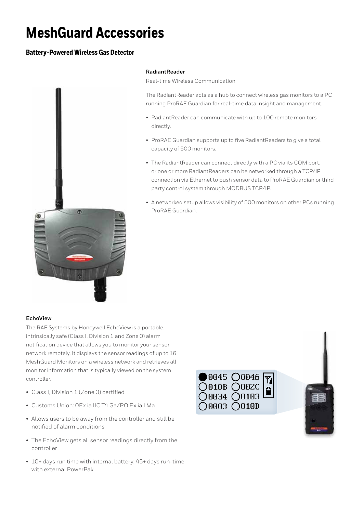# **MeshGuard Accessories**

### **Battery-Powered Wireless Gas Detector**



#### **RadiantReader**

Real-time Wireless Communication

The RadiantReader acts as a hub to connect wireless gas monitors to a PC running ProRAE Guardian for real-time data insight and management.

- RadiantReader can communicate with up to 100 remote monitors directly.
- ProRAE Guardian supports up to five RadiantReaders to give a total capacity of 500 monitors.
- The RadiantReader can connect directly with a PC via its COM port, or one or more RadiantReaders can be networked through a TCP/IP connection via Ethernet to push sensor data to ProRAE Guardian or third party control system through MODBUS TCP/IP.
- A networked setup allows visibility of 500 monitors on other PCs running ProRAE Guardian.

#### **EchoView**

The RAE Systems by Honeywell EchoView is a portable, intrinsically safe (Class I, Division 1 and Zone 0) alarm notification device that allows you to monitor your sensor network remotely. It displays the sensor readings of up to 16 MeshGuard Monitors on a wireless network and retrieves all monitor information that is typically viewed on the system controller.

- Class I, Division 1 (Zone 0) certified
- Customs Union: 0Ex ia IIC T4 Ga/PO Ex ia I Ma
- Allows users to be away from the controller and still be notified of alarm conditions
- The EchoView gets all sensor readings directly from the controller
- 10+ days run time with internal battery, 45+ days run-time with external PowerPak